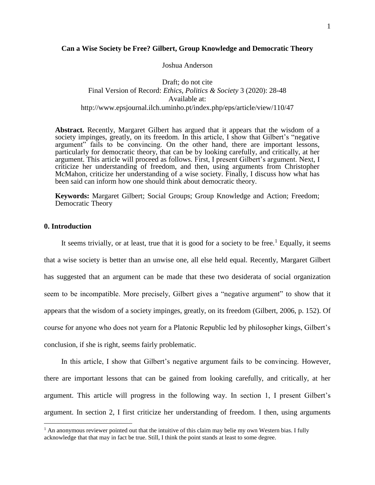# **Can a Wise Society be Free? Gilbert, Group Knowledge and Democratic Theory**

Joshua Anderson

Draft; do not cite Final Version of Record: *Ethics, Politics & Society* 3 (2020): 28-48 Available at: http://www.epsjournal.ilch.uminho.pt/index.php/eps/article/view/110/47

**Abstract.** Recently, Margaret Gilbert has argued that it appears that the wisdom of a society impinges, greatly, on its freedom. In this article, I show that Gilbert's "negative argument" fails to be convincing. On the other hand, there are important lessons, particularly for democratic theory, that can be by looking carefully, and critically, at her argument. This article will proceed as follows. First, I present Gilbert's argument. Next, I criticize her understanding of freedom, and then, using arguments from Christopher McMahon, criticize her understanding of a wise society. Finally, I discuss how what has been said can inform how one should think about democratic theory.

**Keywords:** Margaret Gilbert; Social Groups; Group Knowledge and Action; Freedom; Democratic Theory

# **0. Introduction**

 $\overline{a}$ 

It seems trivially, or at least, true that it is good for a society to be free.<sup>1</sup> Equally, it seems that a wise society is better than an unwise one, all else held equal. Recently, Margaret Gilbert has suggested that an argument can be made that these two desiderata of social organization seem to be incompatible. More precisely, Gilbert gives a "negative argument" to show that it appears that the wisdom of a society impinges, greatly, on its freedom (Gilbert, 2006, p. 152). Of course for anyone who does not yearn for a Platonic Republic led by philosopher kings, Gilbert's conclusion, if she is right, seems fairly problematic.

In this article, I show that Gilbert's negative argument fails to be convincing. However, there are important lessons that can be gained from looking carefully, and critically, at her argument. This article will progress in the following way. In section 1, I present Gilbert's argument. In section 2, I first criticize her understanding of freedom. I then, using arguments

<sup>&</sup>lt;sup>1</sup> An anonymous reviewer pointed out that the intuitive of this claim may belie my own Western bias. I fully acknowledge that that may in fact be true. Still, I think the point stands at least to some degree.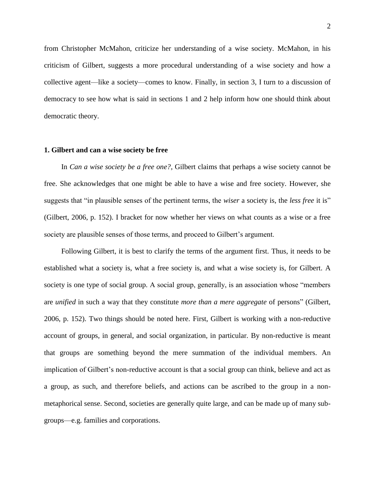from Christopher McMahon, criticize her understanding of a wise society. McMahon, in his criticism of Gilbert, suggests a more procedural understanding of a wise society and how a collective agent—like a society—comes to know. Finally, in section 3, I turn to a discussion of democracy to see how what is said in sections 1 and 2 help inform how one should think about democratic theory.

### **1. Gilbert and can a wise society be free**

In *Can a wise society be a free one?*, Gilbert claims that perhaps a wise society cannot be free. She acknowledges that one might be able to have a wise and free society. However, she suggests that "in plausible senses of the pertinent terms, the *wiser* a society is, the *less free* it is" (Gilbert, 2006, p. 152). I bracket for now whether her views on what counts as a wise or a free society are plausible senses of those terms, and proceed to Gilbert's argument.

Following Gilbert, it is best to clarify the terms of the argument first. Thus, it needs to be established what a society is, what a free society is, and what a wise society is, for Gilbert. A society is one type of social group. A social group, generally, is an association whose "members are *unified* in such a way that they constitute *more than a mere aggregate* of persons" (Gilbert, 2006, p. 152). Two things should be noted here. First, Gilbert is working with a non-reductive account of groups, in general, and social organization, in particular. By non-reductive is meant that groups are something beyond the mere summation of the individual members. An implication of Gilbert's non-reductive account is that a social group can think, believe and act as a group, as such, and therefore beliefs, and actions can be ascribed to the group in a nonmetaphorical sense. Second, societies are generally quite large, and can be made up of many subgroups—e.g. families and corporations.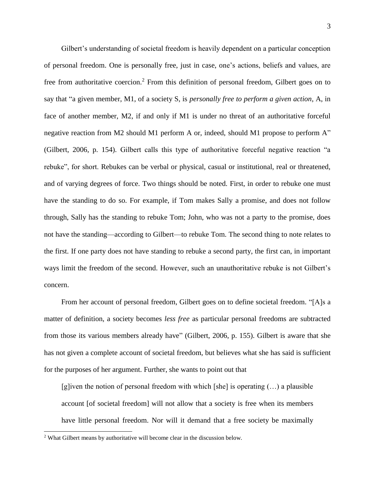Gilbert's understanding of societal freedom is heavily dependent on a particular conception of personal freedom. One is personally free, just in case, one's actions, beliefs and values, are free from authoritative coercion.<sup>2</sup> From this definition of personal freedom, Gilbert goes on to say that "a given member, M1, of a society S, is *personally free to perform a given action*, A, in face of another member, M2, if and only if M1 is under no threat of an authoritative forceful negative reaction from M2 should M1 perform A or, indeed, should M1 propose to perform A" (Gilbert, 2006, p. 154). Gilbert calls this type of authoritative forceful negative reaction "a rebuke", for short. Rebukes can be verbal or physical, casual or institutional, real or threatened, and of varying degrees of force. Two things should be noted. First, in order to rebuke one must have the standing to do so. For example, if Tom makes Sally a promise, and does not follow through, Sally has the standing to rebuke Tom; John, who was not a party to the promise, does not have the standing—according to Gilbert—to rebuke Tom. The second thing to note relates to the first. If one party does not have standing to rebuke a second party, the first can, in important ways limit the freedom of the second. However, such an unauthoritative rebuke is not Gilbert's concern.

From her account of personal freedom, Gilbert goes on to define societal freedom. "[A]s a matter of definition, a society becomes *less free* as particular personal freedoms are subtracted from those its various members already have" (Gilbert, 2006, p. 155). Gilbert is aware that she has not given a complete account of societal freedom, but believes what she has said is sufficient for the purposes of her argument. Further, she wants to point out that

[g]iven the notion of personal freedom with which [she] is operating (…) a plausible account [of societal freedom] will not allow that a society is free when its members have little personal freedom. Nor will it demand that a free society be maximally

<sup>2</sup> What Gilbert means by authoritative will become clear in the discussion below.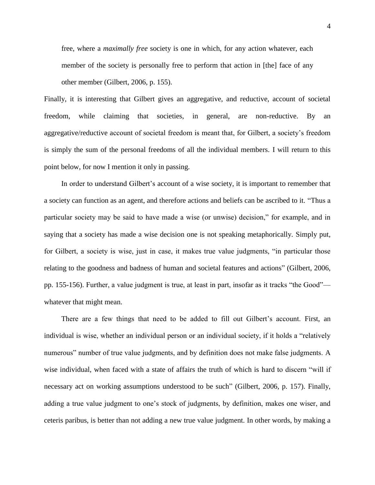free, where a *maximally free* society is one in which, for any action whatever, each member of the society is personally free to perform that action in [the] face of any other member (Gilbert, 2006, p. 155).

Finally, it is interesting that Gilbert gives an aggregative, and reductive, account of societal freedom, while claiming that societies, in general, are non-reductive. By an aggregative/reductive account of societal freedom is meant that, for Gilbert, a society's freedom is simply the sum of the personal freedoms of all the individual members. I will return to this point below, for now I mention it only in passing.

In order to understand Gilbert's account of a wise society, it is important to remember that a society can function as an agent, and therefore actions and beliefs can be ascribed to it. "Thus a particular society may be said to have made a wise (or unwise) decision," for example, and in saying that a society has made a wise decision one is not speaking metaphorically. Simply put, for Gilbert, a society is wise, just in case, it makes true value judgments, "in particular those relating to the goodness and badness of human and societal features and actions" (Gilbert, 2006, pp. 155-156). Further, a value judgment is true, at least in part, insofar as it tracks "the Good" whatever that might mean.

There are a few things that need to be added to fill out Gilbert's account. First, an individual is wise, whether an individual person or an individual society, if it holds a "relatively numerous" number of true value judgments, and by definition does not make false judgments. A wise individual, when faced with a state of affairs the truth of which is hard to discern "will if necessary act on working assumptions understood to be such" (Gilbert, 2006, p. 157). Finally, adding a true value judgment to one's stock of judgments, by definition, makes one wiser, and ceteris paribus, is better than not adding a new true value judgment. In other words, by making a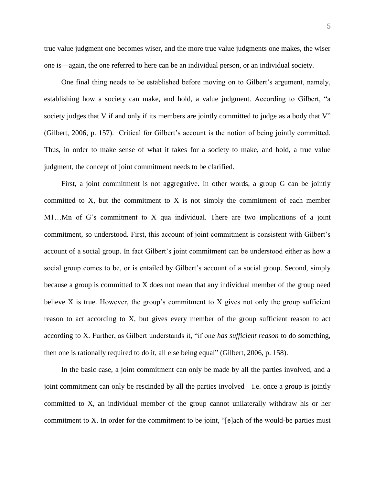true value judgment one becomes wiser, and the more true value judgments one makes, the wiser one is—again, the one referred to here can be an individual person, or an individual society.

One final thing needs to be established before moving on to Gilbert's argument, namely, establishing how a society can make, and hold, a value judgment. According to Gilbert, "a society judges that V if and only if its members are jointly committed to judge as a body that V" (Gilbert, 2006, p. 157). Critical for Gilbert's account is the notion of being jointly committed. Thus, in order to make sense of what it takes for a society to make, and hold, a true value judgment, the concept of joint commitment needs to be clarified.

First, a joint commitment is not aggregative. In other words, a group G can be jointly committed to X, but the commitment to X is not simply the commitment of each member M1…Mn of G's commitment to X qua individual. There are two implications of a joint commitment, so understood. First, this account of joint commitment is consistent with Gilbert's account of a social group. In fact Gilbert's joint commitment can be understood either as how a social group comes to be, or is entailed by Gilbert's account of a social group. Second, simply because a group is committed to X does not mean that any individual member of the group need believe  $X$  is true. However, the group's commitment to  $X$  gives not only the group sufficient reason to act according to X, but gives every member of the group sufficient reason to act according to X. Further, as Gilbert understands it, "if one *has sufficient reason* to do something, then one is rationally required to do it, all else being equal" (Gilbert, 2006, p. 158).

In the basic case, a joint commitment can only be made by all the parties involved, and a joint commitment can only be rescinded by all the parties involved—i.e. once a group is jointly committed to X, an individual member of the group cannot unilaterally withdraw his or her commitment to X. In order for the commitment to be joint, "[e]ach of the would-be parties must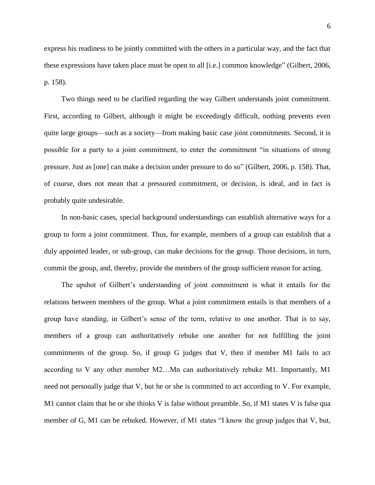express his readiness to be jointly committed with the others in a particular way, and the fact that these expressions have taken place must be open to all [i.e.] common knowledge" (Gilbert, 2006, p. 158).

Two things need to be clarified regarding the way Gilbert understands joint commitment. First, according to Gilbert, although it might be exceedingly difficult, nothing prevents even quite large groups—such as a society—from making basic case joint commitments. Second, it is possible for a party to a joint commitment, to enter the commitment "in situations of strong pressure. Just as [one] can make a decision under pressure to do so" (Gilbert, 2006, p. 158). That, of course, does not mean that a pressured commitment, or decision, is ideal, and in fact is probably quite undesirable.

In non-basic cases, special background understandings can establish alternative ways for a group to form a joint commitment. Thus, for example, members of a group can establish that a duly appointed leader, or sub-group, can make decisions for the group. Those decisions, in turn, commit the group, and, thereby, provide the members of the group sufficient reason for acting.

The upshot of Gilbert's understanding of joint commitment is what it entails for the relations between members of the group. What a joint commitment entails is that members of a group have standing, in Gilbert's sense of the term, relative to one another. That is to say, members of a group can authoritatively rebuke one another for not fulfilling the joint commitments of the group. So, if group G judges that V, then if member M1 fails to act according to V any other member M2…Mn can authoritatively rebuke M1. Importantly, M1 need not personally judge that V, but he or she is committed to act according to V. For example, M1 cannot claim that he or she thinks V is false without preamble. So, if M1 states V is false qua member of G, M1 can be rebuked. However, if M1 states "I know the group judges that V, but,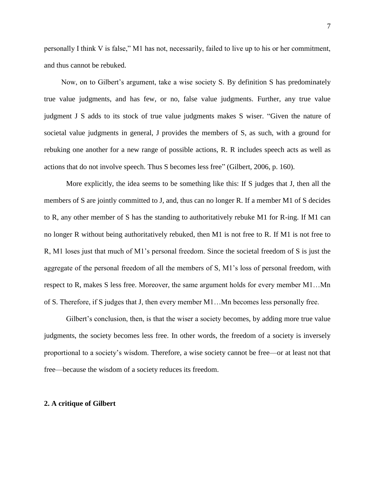personally I think V is false," M1 has not, necessarily, failed to live up to his or her commitment, and thus cannot be rebuked.

Now, on to Gilbert's argument, take a wise society S. By definition S has predominately true value judgments, and has few, or no, false value judgments. Further, any true value judgment J S adds to its stock of true value judgments makes S wiser. "Given the nature of societal value judgments in general, J provides the members of S, as such, with a ground for rebuking one another for a new range of possible actions, R. R includes speech acts as well as actions that do not involve speech. Thus S becomes less free" (Gilbert, 2006, p. 160).

More explicitly, the idea seems to be something like this: If S judges that J, then all the members of S are jointly committed to J, and, thus can no longer R. If a member M1 of S decides to R, any other member of S has the standing to authoritatively rebuke M1 for R-ing. If M1 can no longer R without being authoritatively rebuked, then M1 is not free to R. If M1 is not free to R, M1 loses just that much of M1's personal freedom. Since the societal freedom of S is just the aggregate of the personal freedom of all the members of S, M1's loss of personal freedom, with respect to R, makes S less free. Moreover, the same argument holds for every member M1…Mn of S. Therefore, if S judges that J, then every member M1…Mn becomes less personally free.

Gilbert's conclusion, then, is that the wiser a society becomes, by adding more true value judgments, the society becomes less free. In other words, the freedom of a society is inversely proportional to a society's wisdom. Therefore, a wise society cannot be free—or at least not that free—because the wisdom of a society reduces its freedom.

### **2. A critique of Gilbert**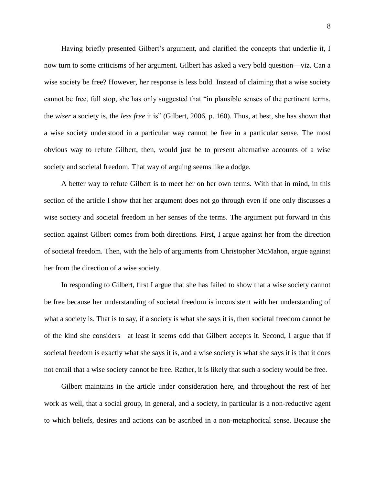Having briefly presented Gilbert's argument, and clarified the concepts that underlie it, I now turn to some criticisms of her argument. Gilbert has asked a very bold question—viz. Can a wise society be free? However, her response is less bold. Instead of claiming that a wise society cannot be free, full stop, she has only suggested that "in plausible senses of the pertinent terms, the *wiser* a society is, the *less free* it is" (Gilbert, 2006, p. 160). Thus, at best, she has shown that a wise society understood in a particular way cannot be free in a particular sense. The most obvious way to refute Gilbert, then, would just be to present alternative accounts of a wise society and societal freedom. That way of arguing seems like a dodge.

A better way to refute Gilbert is to meet her on her own terms. With that in mind, in this section of the article I show that her argument does not go through even if one only discusses a wise society and societal freedom in her senses of the terms. The argument put forward in this section against Gilbert comes from both directions. First, I argue against her from the direction of societal freedom. Then, with the help of arguments from Christopher McMahon, argue against her from the direction of a wise society.

In responding to Gilbert, first I argue that she has failed to show that a wise society cannot be free because her understanding of societal freedom is inconsistent with her understanding of what a society is. That is to say, if a society is what she says it is, then societal freedom cannot be of the kind she considers—at least it seems odd that Gilbert accepts it. Second, I argue that if societal freedom is exactly what she says it is, and a wise society is what she says it is that it does not entail that a wise society cannot be free. Rather, it is likely that such a society would be free.

Gilbert maintains in the article under consideration here, and throughout the rest of her work as well, that a social group, in general, and a society, in particular is a non-reductive agent to which beliefs, desires and actions can be ascribed in a non-metaphorical sense. Because she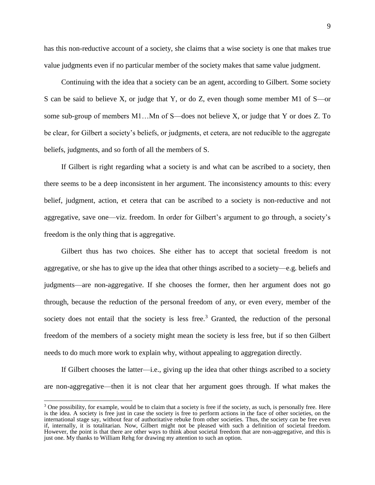has this non-reductive account of a society, she claims that a wise society is one that makes true value judgments even if no particular member of the society makes that same value judgment.

Continuing with the idea that a society can be an agent, according to Gilbert. Some society S can be said to believe X, or judge that Y, or do Z, even though some member M1 of S—or some sub-group of members M1…Mn of S—does not believe X, or judge that Y or does Z. To be clear, for Gilbert a society's beliefs, or judgments, et cetera, are not reducible to the aggregate beliefs, judgments, and so forth of all the members of S.

If Gilbert is right regarding what a society is and what can be ascribed to a society, then there seems to be a deep inconsistent in her argument. The inconsistency amounts to this: every belief, judgment, action, et cetera that can be ascribed to a society is non-reductive and not aggregative, save one—viz. freedom. In order for Gilbert's argument to go through, a society's freedom is the only thing that is aggregative.

Gilbert thus has two choices. She either has to accept that societal freedom is not aggregative, or she has to give up the idea that other things ascribed to a society—e.g. beliefs and judgments—are non-aggregative. If she chooses the former, then her argument does not go through, because the reduction of the personal freedom of any, or even every, member of the society does not entail that the society is less free.<sup>3</sup> Granted, the reduction of the personal freedom of the members of a society might mean the society is less free, but if so then Gilbert needs to do much more work to explain why, without appealing to aggregation directly.

If Gilbert chooses the latter—i.e., giving up the idea that other things ascribed to a society are non-aggregative—then it is not clear that her argument goes through. If what makes the

 $3$  One possibility, for example, would be to claim that a society is free if the society, as such, is personally free. Here is the idea. A society is free just in case the society is free to perform actions in the face of other societies, on the international stage say, without fear of authoritative rebuke from other societies. Thus, the society can be free even if, internally, it is totalitarian. Now, Gilbert might not be pleased with such a definition of societal freedom. However, the point is that there are other ways to think about societal freedom that are non-aggregative, and this is just one. My thanks to William Rehg for drawing my attention to such an option.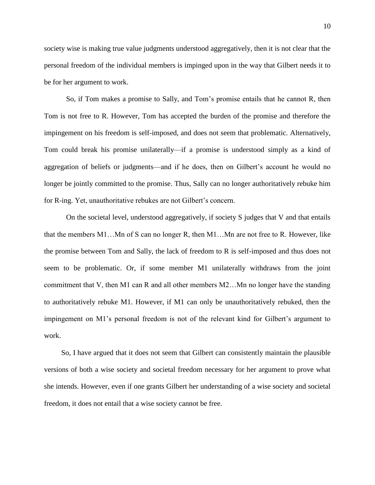society wise is making true value judgments understood aggregatively, then it is not clear that the personal freedom of the individual members is impinged upon in the way that Gilbert needs it to be for her argument to work.

So, if Tom makes a promise to Sally, and Tom's promise entails that he cannot R, then Tom is not free to R. However, Tom has accepted the burden of the promise and therefore the impingement on his freedom is self-imposed, and does not seem that problematic. Alternatively, Tom could break his promise unilaterally—if a promise is understood simply as a kind of aggregation of beliefs or judgments—and if he does, then on Gilbert's account he would no longer be jointly committed to the promise. Thus, Sally can no longer authoritatively rebuke him for R-ing. Yet, unauthoritative rebukes are not Gilbert's concern.

On the societal level, understood aggregatively, if society S judges that V and that entails that the members M1…Mn of S can no longer R, then M1…Mn are not free to R. However, like the promise between Tom and Sally, the lack of freedom to R is self-imposed and thus does not seem to be problematic. Or, if some member M1 unilaterally withdraws from the joint commitment that V, then M1 can R and all other members M2…Mn no longer have the standing to authoritatively rebuke M1. However, if M1 can only be unauthoritatively rebuked, then the impingement on M1's personal freedom is not of the relevant kind for Gilbert's argument to work.

So, I have argued that it does not seem that Gilbert can consistently maintain the plausible versions of both a wise society and societal freedom necessary for her argument to prove what she intends. However, even if one grants Gilbert her understanding of a wise society and societal freedom, it does not entail that a wise society cannot be free.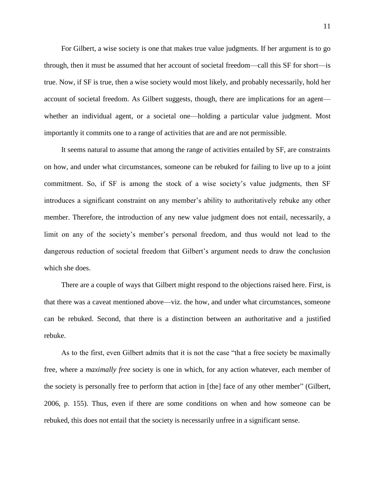For Gilbert, a wise society is one that makes true value judgments. If her argument is to go through, then it must be assumed that her account of societal freedom—call this SF for short—is true. Now, if SF is true, then a wise society would most likely, and probably necessarily, hold her account of societal freedom. As Gilbert suggests, though, there are implications for an agent whether an individual agent, or a societal one—holding a particular value judgment. Most importantly it commits one to a range of activities that are and are not permissible.

It seems natural to assume that among the range of activities entailed by SF, are constraints on how, and under what circumstances, someone can be rebuked for failing to live up to a joint commitment. So, if SF is among the stock of a wise society's value judgments, then SF introduces a significant constraint on any member's ability to authoritatively rebuke any other member. Therefore, the introduction of any new value judgment does not entail, necessarily, a limit on any of the society's member's personal freedom, and thus would not lead to the dangerous reduction of societal freedom that Gilbert's argument needs to draw the conclusion which she does.

There are a couple of ways that Gilbert might respond to the objections raised here. First, is that there was a caveat mentioned above—viz. the how, and under what circumstances, someone can be rebuked. Second, that there is a distinction between an authoritative and a justified rebuke.

As to the first, even Gilbert admits that it is not the case "that a free society be maximally free, where a *maximally free* society is one in which, for any action whatever, each member of the society is personally free to perform that action in [the] face of any other member" (Gilbert, 2006, p. 155). Thus, even if there are some conditions on when and how someone can be rebuked, this does not entail that the society is necessarily unfree in a significant sense.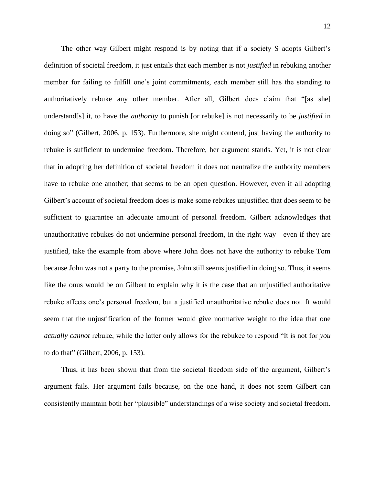The other way Gilbert might respond is by noting that if a society S adopts Gilbert's definition of societal freedom, it just entails that each member is not *justified* in rebuking another member for failing to fulfill one's joint commitments, each member still has the standing to authoritatively rebuke any other member. After all, Gilbert does claim that "[as she] understand[s] it, to have the *authority* to punish [or rebuke] is not necessarily to be *justified* in doing so" (Gilbert, 2006, p. 153). Furthermore, she might contend, just having the authority to rebuke is sufficient to undermine freedom. Therefore, her argument stands. Yet, it is not clear that in adopting her definition of societal freedom it does not neutralize the authority members have to rebuke one another; that seems to be an open question. However, even if all adopting Gilbert's account of societal freedom does is make some rebukes unjustified that does seem to be sufficient to guarantee an adequate amount of personal freedom. Gilbert acknowledges that unauthoritative rebukes do not undermine personal freedom, in the right way—even if they are justified, take the example from above where John does not have the authority to rebuke Tom because John was not a party to the promise, John still seems justified in doing so. Thus, it seems like the onus would be on Gilbert to explain why it is the case that an unjustified authoritative rebuke affects one's personal freedom, but a justified unauthoritative rebuke does not. It would seem that the unjustification of the former would give normative weight to the idea that one *actually cannot* rebuke, while the latter only allows for the rebukee to respond "It is not for *you* to do that" (Gilbert, 2006, p. 153).

Thus, it has been shown that from the societal freedom side of the argument, Gilbert's argument fails. Her argument fails because, on the one hand, it does not seem Gilbert can consistently maintain both her "plausible" understandings of a wise society and societal freedom.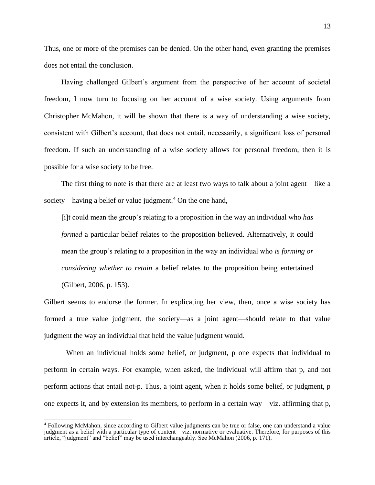Thus, one or more of the premises can be denied. On the other hand, even granting the premises does not entail the conclusion.

Having challenged Gilbert's argument from the perspective of her account of societal freedom, I now turn to focusing on her account of a wise society. Using arguments from Christopher McMahon, it will be shown that there is a way of understanding a wise society, consistent with Gilbert's account, that does not entail, necessarily, a significant loss of personal freedom. If such an understanding of a wise society allows for personal freedom, then it is possible for a wise society to be free.

The first thing to note is that there are at least two ways to talk about a joint agent—like a society—having a belief or value judgment.<sup>4</sup> On the one hand,

[i]t could mean the group's relating to a proposition in the way an individual who *has formed* a particular belief relates to the proposition believed. Alternatively, it could mean the group's relating to a proposition in the way an individual who *is forming or considering whether to retain* a belief relates to the proposition being entertained (Gilbert, 2006, p. 153).

Gilbert seems to endorse the former. In explicating her view, then, once a wise society has formed a true value judgment, the society—as a joint agent—should relate to that value judgment the way an individual that held the value judgment would.

When an individual holds some belief, or judgment, p one expects that individual to perform in certain ways. For example, when asked, the individual will affirm that p, and not perform actions that entail not-p. Thus, a joint agent, when it holds some belief, or judgment, p one expects it, and by extension its members, to perform in a certain way—viz. affirming that p,

<sup>4</sup> Following McMahon, since according to Gilbert value judgments can be true or false, one can understand a value judgment as a belief with a particular type of content—viz. normative or evaluative. Therefore, for purposes of this article, "judgment" and "belief" may be used interchangeably. See McMahon (2006, p. 171).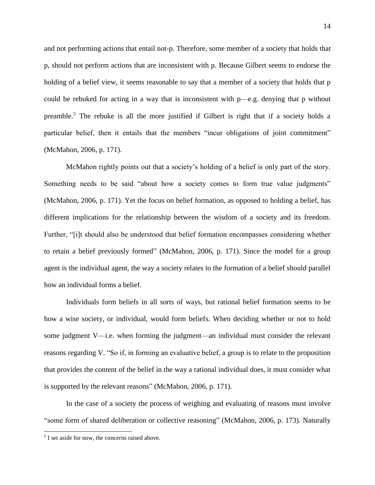and not performing actions that entail not-p. Therefore, some member of a society that holds that p, should not perform actions that are inconsistent with p. Because Gilbert seems to endorse the holding of a belief view, it seems reasonable to say that a member of a society that holds that p could be rebuked for acting in a way that is inconsistent with p—e.g. denying that p without preamble.<sup>5</sup> The rebuke is all the more justified if Gilbert is right that if a society holds a particular belief, then it entails that the members "incur obligations of joint commitment" (McMahon, 2006, p. 171).

McMahon rightly points out that a society's holding of a belief is only part of the story. Something needs to be said "about how a society comes to form true value judgments" (McMahon, 2006, p. 171). Yet the focus on belief formation, as opposed to holding a belief, has different implications for the relationship between the wisdom of a society and its freedom. Further, "[i]t should also be understood that belief formation encompasses considering whether to retain a belief previously formed" (McMahon, 2006, p. 171). Since the model for a group agent is the individual agent, the way a society relates to the formation of a belief should parallel how an individual forms a belief.

Individuals form beliefs in all sorts of ways, but rational belief formation seems to be how a wise society, or individual, would form beliefs. When deciding whether or not to hold some judgment V—i.e. when forming the judgment—an individual must consider the relevant reasons regarding V. "So if, in forming an evaluative belief, a group is to relate to the proposition that provides the content of the belief in the way a rational individual does, it must consider what is supported by the relevant reasons" (McMahon, 2006, p. 171).

In the case of a society the process of weighing and evaluating of reasons must involve "some form of shared deliberation or collective reasoning" (McMahon, 2006, p. 173). Naturally

 5 I set aside for now, the concerns raised above.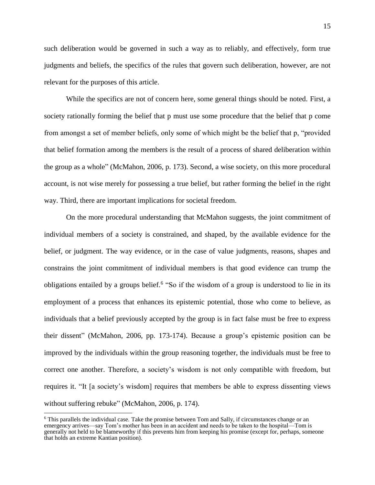such deliberation would be governed in such a way as to reliably, and effectively, form true judgments and beliefs, the specifics of the rules that govern such deliberation, however, are not relevant for the purposes of this article.

While the specifics are not of concern here, some general things should be noted. First, a society rationally forming the belief that p must use some procedure that the belief that p come from amongst a set of member beliefs, only some of which might be the belief that p, "provided that belief formation among the members is the result of a process of shared deliberation within the group as a whole" (McMahon, 2006, p. 173). Second, a wise society, on this more procedural account, is not wise merely for possessing a true belief, but rather forming the belief in the right way. Third, there are important implications for societal freedom.

On the more procedural understanding that McMahon suggests, the joint commitment of individual members of a society is constrained, and shaped, by the available evidence for the belief, or judgment. The way evidence, or in the case of value judgments, reasons, shapes and constrains the joint commitment of individual members is that good evidence can trump the obligations entailed by a groups belief.<sup>6</sup> "So if the wisdom of a group is understood to lie in its employment of a process that enhances its epistemic potential, those who come to believe, as individuals that a belief previously accepted by the group is in fact false must be free to express their dissent" (McMahon, 2006, pp. 173-174). Because a group's epistemic position can be improved by the individuals within the group reasoning together, the individuals must be free to correct one another. Therefore, a society's wisdom is not only compatible with freedom, but requires it. "It [a society's wisdom] requires that members be able to express dissenting views without suffering rebuke" (McMahon, 2006, p. 174).

<sup>&</sup>lt;sup>6</sup> This parallels the individual case. Take the promise between Tom and Sally, if circumstances change or an emergency arrives—say Tom's mother has been in an accident and needs to be taken to the hospital—Tom is generally not held to be blameworthy if this prevents him from keeping his promise (except for, perhaps, someone that holds an extreme Kantian position).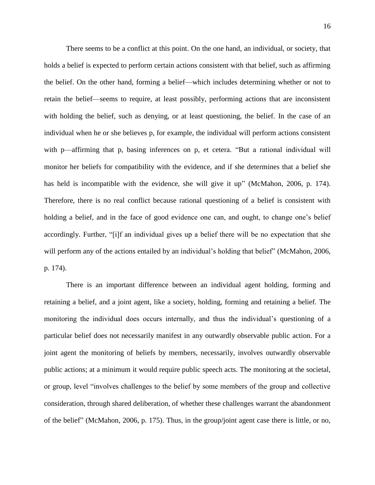There seems to be a conflict at this point. On the one hand, an individual, or society, that holds a belief is expected to perform certain actions consistent with that belief, such as affirming the belief. On the other hand, forming a belief—which includes determining whether or not to retain the belief—seems to require, at least possibly, performing actions that are inconsistent with holding the belief, such as denying, or at least questioning, the belief. In the case of an individual when he or she believes p, for example, the individual will perform actions consistent with p—affirming that p, basing inferences on p, et cetera. "But a rational individual will monitor her beliefs for compatibility with the evidence, and if she determines that a belief she has held is incompatible with the evidence, she will give it up" (McMahon, 2006, p. 174). Therefore, there is no real conflict because rational questioning of a belief is consistent with holding a belief, and in the face of good evidence one can, and ought, to change one's belief accordingly. Further, "[i]f an individual gives up a belief there will be no expectation that she will perform any of the actions entailed by an individual's holding that belief" (McMahon, 2006, p. 174).

There is an important difference between an individual agent holding, forming and retaining a belief, and a joint agent, like a society, holding, forming and retaining a belief. The monitoring the individual does occurs internally, and thus the individual's questioning of a particular belief does not necessarily manifest in any outwardly observable public action. For a joint agent the monitoring of beliefs by members, necessarily, involves outwardly observable public actions; at a minimum it would require public speech acts. The monitoring at the societal, or group, level "involves challenges to the belief by some members of the group and collective consideration, through shared deliberation, of whether these challenges warrant the abandonment of the belief" (McMahon, 2006, p. 175). Thus, in the group/joint agent case there is little, or no,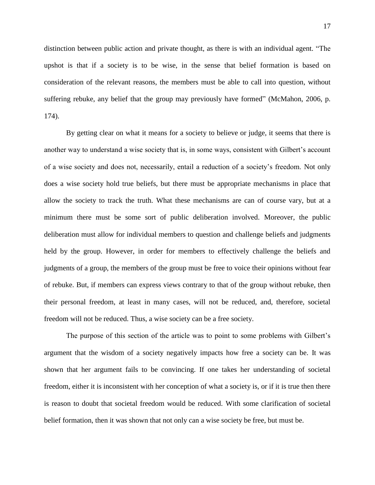distinction between public action and private thought, as there is with an individual agent. "The upshot is that if a society is to be wise, in the sense that belief formation is based on consideration of the relevant reasons, the members must be able to call into question, without suffering rebuke, any belief that the group may previously have formed" (McMahon, 2006, p. 174).

By getting clear on what it means for a society to believe or judge, it seems that there is another way to understand a wise society that is, in some ways, consistent with Gilbert's account of a wise society and does not, necessarily, entail a reduction of a society's freedom. Not only does a wise society hold true beliefs, but there must be appropriate mechanisms in place that allow the society to track the truth. What these mechanisms are can of course vary, but at a minimum there must be some sort of public deliberation involved. Moreover, the public deliberation must allow for individual members to question and challenge beliefs and judgments held by the group. However, in order for members to effectively challenge the beliefs and judgments of a group, the members of the group must be free to voice their opinions without fear of rebuke. But, if members can express views contrary to that of the group without rebuke, then their personal freedom, at least in many cases, will not be reduced, and, therefore, societal freedom will not be reduced. Thus, a wise society can be a free society.

The purpose of this section of the article was to point to some problems with Gilbert's argument that the wisdom of a society negatively impacts how free a society can be. It was shown that her argument fails to be convincing. If one takes her understanding of societal freedom, either it is inconsistent with her conception of what a society is, or if it is true then there is reason to doubt that societal freedom would be reduced. With some clarification of societal belief formation, then it was shown that not only can a wise society be free, but must be.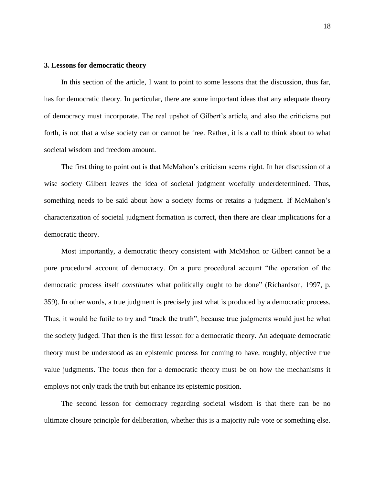# **3. Lessons for democratic theory**

In this section of the article, I want to point to some lessons that the discussion, thus far, has for democratic theory. In particular, there are some important ideas that any adequate theory of democracy must incorporate. The real upshot of Gilbert's article, and also the criticisms put forth, is not that a wise society can or cannot be free. Rather, it is a call to think about to what societal wisdom and freedom amount.

The first thing to point out is that McMahon's criticism seems right. In her discussion of a wise society Gilbert leaves the idea of societal judgment woefully underdetermined. Thus, something needs to be said about how a society forms or retains a judgment. If McMahon's characterization of societal judgment formation is correct, then there are clear implications for a democratic theory.

Most importantly, a democratic theory consistent with McMahon or Gilbert cannot be a pure procedural account of democracy. On a pure procedural account "the operation of the democratic process itself *constitutes* what politically ought to be done" (Richardson, 1997, p. 359). In other words, a true judgment is precisely just what is produced by a democratic process. Thus, it would be futile to try and "track the truth", because true judgments would just be what the society judged. That then is the first lesson for a democratic theory. An adequate democratic theory must be understood as an epistemic process for coming to have, roughly, objective true value judgments. The focus then for a democratic theory must be on how the mechanisms it employs not only track the truth but enhance its epistemic position.

The second lesson for democracy regarding societal wisdom is that there can be no ultimate closure principle for deliberation, whether this is a majority rule vote or something else.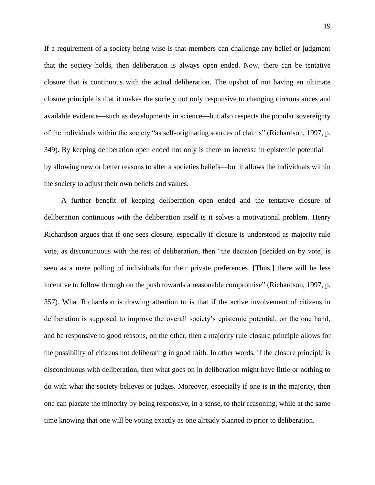If a requirement of a society being wise is that members can challenge any belief or judgment that the society holds, then deliberation is always open ended. Now, there can be tentative closure that is continuous with the actual deliberation. The upshot of not having an ultimate closure principle is that it makes the society not only responsive to changing circumstances and available evidence—such as developments in science—but also respects the popular sovereignty of the individuals within the society "as self-originating sources of claims" (Richardson, 1997, p. 349). By keeping deliberation open ended not only is there an increase in epistemic potential by allowing new or better reasons to alter a societies beliefs—but it allows the individuals within the society to adjust their own beliefs and values.

A further benefit of keeping deliberation open ended and the tentative closure of deliberation continuous with the deliberation itself is it solves a motivational problem. Henry Richardson argues that if one sees closure, especially if closure is understood as majority rule vote, as discontinuous with the rest of deliberation, then "the decision [decided on by vote] is seen as a mere polling of individuals for their private preferences. [Thus,] there will be less incentive to follow through on the push towards a reasonable compromise" (Richardson, 1997, p. 357). What Richardson is drawing attention to is that if the active involvement of citizens in deliberation is supposed to improve the overall society's epistemic potential, on the one hand, and be responsive to good reasons, on the other, then a majority rule closure principle allows for the possibility of citizens not deliberating in good faith. In other words, if the closure principle is discontinuous with deliberation, then what goes on in deliberation might have little or nothing to do with what the society believes or judges. Moreover, especially if one is in the majority, then one can placate the minority by being responsive, in a sense, to their reasoning, while at the same time knowing that one will be voting exactly as one already planned to prior to deliberation.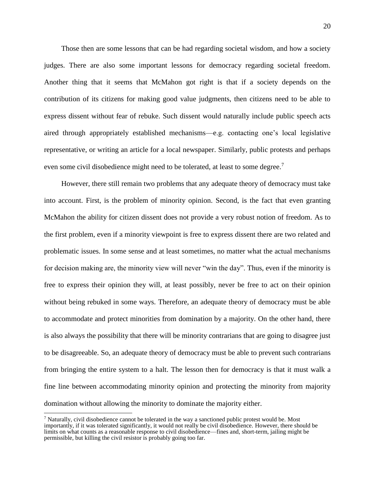Those then are some lessons that can be had regarding societal wisdom, and how a society judges. There are also some important lessons for democracy regarding societal freedom. Another thing that it seems that McMahon got right is that if a society depends on the contribution of its citizens for making good value judgments, then citizens need to be able to express dissent without fear of rebuke. Such dissent would naturally include public speech acts aired through appropriately established mechanisms—e.g. contacting one's local legislative representative, or writing an article for a local newspaper. Similarly, public protests and perhaps even some civil disobedience might need to be tolerated, at least to some degree.<sup>7</sup>

However, there still remain two problems that any adequate theory of democracy must take into account. First, is the problem of minority opinion. Second, is the fact that even granting McMahon the ability for citizen dissent does not provide a very robust notion of freedom. As to the first problem, even if a minority viewpoint is free to express dissent there are two related and problematic issues. In some sense and at least sometimes, no matter what the actual mechanisms for decision making are, the minority view will never "win the day". Thus, even if the minority is free to express their opinion they will, at least possibly, never be free to act on their opinion without being rebuked in some ways. Therefore, an adequate theory of democracy must be able to accommodate and protect minorities from domination by a majority. On the other hand, there is also always the possibility that there will be minority contrarians that are going to disagree just to be disagreeable. So, an adequate theory of democracy must be able to prevent such contrarians from bringing the entire system to a halt. The lesson then for democracy is that it must walk a fine line between accommodating minority opinion and protecting the minority from majority domination without allowing the minority to dominate the majority either.

<sup>&</sup>lt;sup>7</sup> Naturally, civil disobedience cannot be tolerated in the way a sanctioned public protest would be. Most importantly, if it was tolerated significantly, it would not really be civil disobedience. However, there should be limits on what counts as a reasonable response to civil disobedience—fines and, short-term, jailing might be permissible, but killing the civil resistor is probably going too far.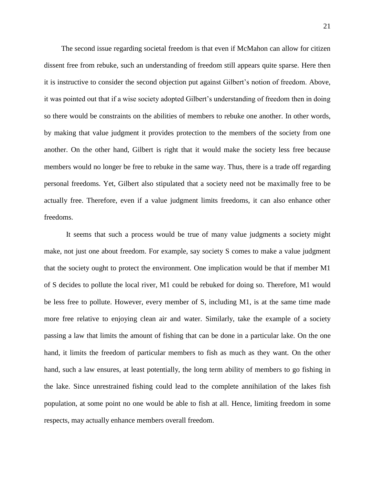The second issue regarding societal freedom is that even if McMahon can allow for citizen dissent free from rebuke, such an understanding of freedom still appears quite sparse. Here then it is instructive to consider the second objection put against Gilbert's notion of freedom. Above, it was pointed out that if a wise society adopted Gilbert's understanding of freedom then in doing so there would be constraints on the abilities of members to rebuke one another. In other words, by making that value judgment it provides protection to the members of the society from one another. On the other hand, Gilbert is right that it would make the society less free because members would no longer be free to rebuke in the same way. Thus, there is a trade off regarding personal freedoms. Yet, Gilbert also stipulated that a society need not be maximally free to be actually free. Therefore, even if a value judgment limits freedoms, it can also enhance other freedoms.

It seems that such a process would be true of many value judgments a society might make, not just one about freedom. For example, say society S comes to make a value judgment that the society ought to protect the environment. One implication would be that if member M1 of S decides to pollute the local river, M1 could be rebuked for doing so. Therefore, M1 would be less free to pollute. However, every member of S, including M1, is at the same time made more free relative to enjoying clean air and water. Similarly, take the example of a society passing a law that limits the amount of fishing that can be done in a particular lake. On the one hand, it limits the freedom of particular members to fish as much as they want. On the other hand, such a law ensures, at least potentially, the long term ability of members to go fishing in the lake. Since unrestrained fishing could lead to the complete annihilation of the lakes fish population, at some point no one would be able to fish at all. Hence, limiting freedom in some respects, may actually enhance members overall freedom.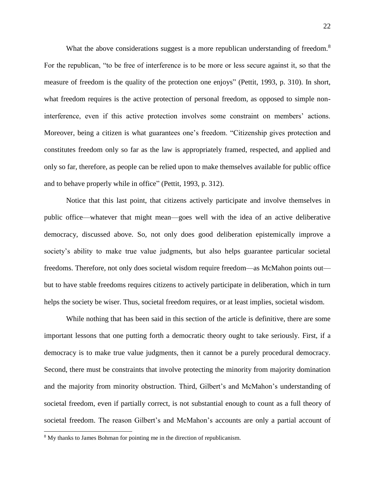What the above considerations suggest is a more republican understanding of freedom.<sup>8</sup> For the republican, "to be free of interference is to be more or less secure against it, so that the measure of freedom is the quality of the protection one enjoys" (Pettit, 1993, p. 310). In short, what freedom requires is the active protection of personal freedom, as opposed to simple noninterference, even if this active protection involves some constraint on members' actions. Moreover, being a citizen is what guarantees one's freedom. "Citizenship gives protection and constitutes freedom only so far as the law is appropriately framed, respected, and applied and only so far, therefore, as people can be relied upon to make themselves available for public office and to behave properly while in office" (Pettit, 1993, p. 312).

Notice that this last point, that citizens actively participate and involve themselves in public office—whatever that might mean—goes well with the idea of an active deliberative democracy, discussed above. So, not only does good deliberation epistemically improve a society's ability to make true value judgments, but also helps guarantee particular societal freedoms. Therefore, not only does societal wisdom require freedom—as McMahon points out but to have stable freedoms requires citizens to actively participate in deliberation, which in turn helps the society be wiser. Thus, societal freedom requires, or at least implies, societal wisdom.

While nothing that has been said in this section of the article is definitive, there are some important lessons that one putting forth a democratic theory ought to take seriously. First, if a democracy is to make true value judgments, then it cannot be a purely procedural democracy. Second, there must be constraints that involve protecting the minority from majority domination and the majority from minority obstruction. Third, Gilbert's and McMahon's understanding of societal freedom, even if partially correct, is not substantial enough to count as a full theory of societal freedom. The reason Gilbert's and McMahon's accounts are only a partial account of

<sup>&</sup>lt;sup>8</sup> My thanks to James Bohman for pointing me in the direction of republicanism.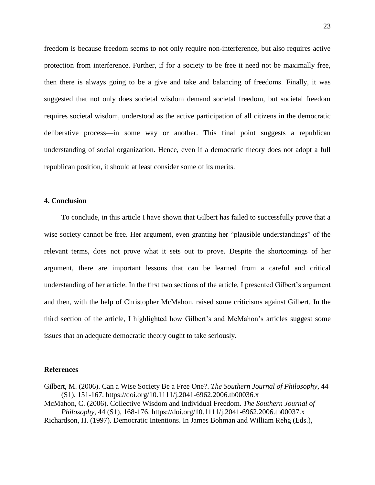freedom is because freedom seems to not only require non-interference, but also requires active protection from interference. Further, if for a society to be free it need not be maximally free, then there is always going to be a give and take and balancing of freedoms. Finally, it was suggested that not only does societal wisdom demand societal freedom, but societal freedom requires societal wisdom, understood as the active participation of all citizens in the democratic deliberative process—in some way or another. This final point suggests a republican understanding of social organization. Hence, even if a democratic theory does not adopt a full republican position, it should at least consider some of its merits.

# **4. Conclusion**

To conclude, in this article I have shown that Gilbert has failed to successfully prove that a wise society cannot be free. Her argument, even granting her "plausible understandings" of the relevant terms, does not prove what it sets out to prove. Despite the shortcomings of her argument, there are important lessons that can be learned from a careful and critical understanding of her article. In the first two sections of the article, I presented Gilbert's argument and then, with the help of Christopher McMahon, raised some criticisms against Gilbert. In the third section of the article, I highlighted how Gilbert's and McMahon's articles suggest some issues that an adequate democratic theory ought to take seriously.

#### **References**

Gilbert, M. (2006). Can a Wise Society Be a Free One?. *The Southern Journal of Philosophy*, 44 (S1), 151-167. https://doi.org/10.1111/j.2041-6962.2006.tb00036.x

McMahon, C. (2006). Collective Wisdom and Individual Freedom. *The Southern Journal of Philosophy*, 44 (S1), 168-176. https://doi.org/10.1111/j.2041-6962.2006.tb00037.x

Richardson, H. (1997). Democratic Intentions. In James Bohman and William Rehg (Eds.),